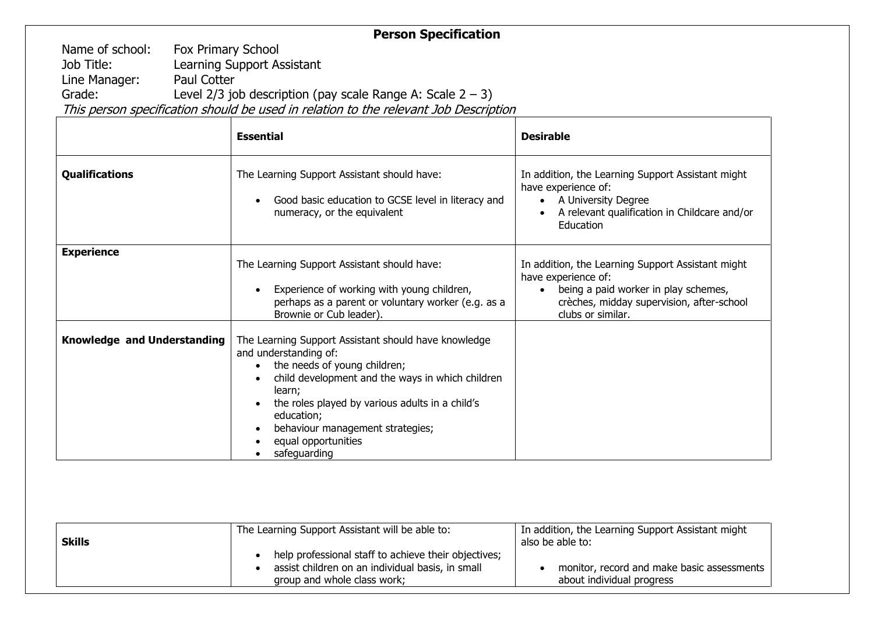## **Person Specification**

Name of school: Fox Primary School Job Title: Learning Support Assistant<br>
Line Manager: Paul Cotter Line Manager:<br>Grade: Level 2/3 job description (pay scale Range A: Scale  $2 - 3$ )

This person specification should be used in relation to the relevant Job Description

|                             | <b>Essential</b>                                                                                                                                                                                                                                                                                                        | <b>Desirable</b>                                                                                                                                                                                |
|-----------------------------|-------------------------------------------------------------------------------------------------------------------------------------------------------------------------------------------------------------------------------------------------------------------------------------------------------------------------|-------------------------------------------------------------------------------------------------------------------------------------------------------------------------------------------------|
| <b>Qualifications</b>       | The Learning Support Assistant should have:<br>Good basic education to GCSE level in literacy and<br>numeracy, or the equivalent                                                                                                                                                                                        | In addition, the Learning Support Assistant might<br>have experience of:<br>• A University Degree<br>A relevant qualification in Childcare and/or<br>Education                                  |
| <b>Experience</b>           | The Learning Support Assistant should have:<br>Experience of working with young children,<br>perhaps as a parent or voluntary worker (e.g. as a<br>Brownie or Cub leader).                                                                                                                                              | In addition, the Learning Support Assistant might<br>have experience of:<br>being a paid worker in play schemes,<br>$\bullet$<br>crèches, midday supervision, after-school<br>clubs or similar. |
| Knowledge and Understanding | The Learning Support Assistant should have knowledge<br>and understanding of:<br>the needs of young children;<br>child development and the ways in which children<br>learn;<br>the roles played by various adults in a child's<br>education;<br>behaviour management strategies;<br>equal opportunities<br>safeguarding |                                                                                                                                                                                                 |

| <b>Skills</b> | The Learning Support Assistant will be able to:                                                                                         | In addition, the Learning Support Assistant might<br>also be able to:   |
|---------------|-----------------------------------------------------------------------------------------------------------------------------------------|-------------------------------------------------------------------------|
|               | help professional staff to achieve their objectives;<br>assist children on an individual basis, in small<br>group and whole class work; | monitor, record and make basic assessments<br>about individual progress |